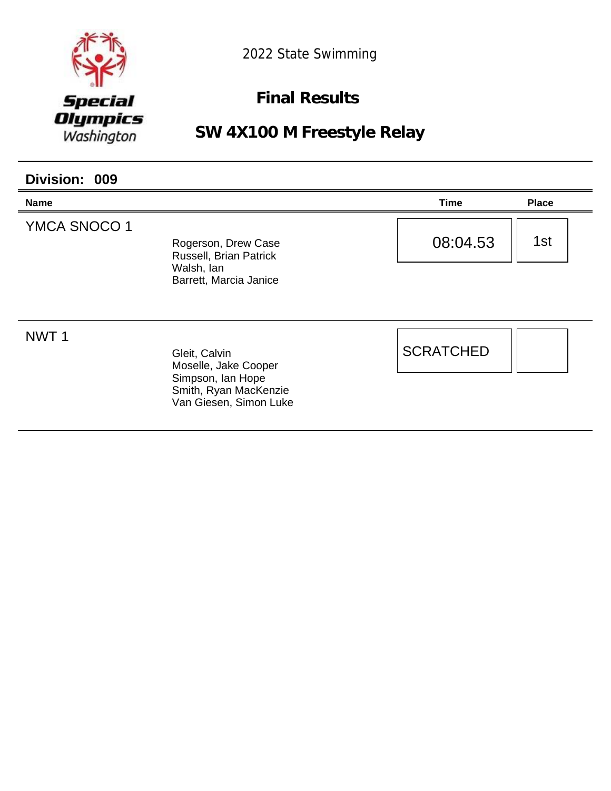

### **Final Results**

| Division: 009       |                                                                                       |                  |              |  |
|---------------------|---------------------------------------------------------------------------------------|------------------|--------------|--|
| <b>Name</b>         |                                                                                       | Time             | <b>Place</b> |  |
| <b>YMCA SNOCO 1</b> | Rogerson, Drew Case<br>Russell, Brian Patrick<br>Walsh, lan<br>Barrett, Marcia Janice | 08:04.53         | 1st          |  |
| NWT <sub>1</sub>    | Gleit, Calvin<br>Moselle, Jake Cooper                                                 | <b>SCRATCHED</b> |              |  |
|                     | Simpson, Ian Hope<br>Smith, Ryan MacKenzie<br>Van Giesen, Simon Luke                  |                  |              |  |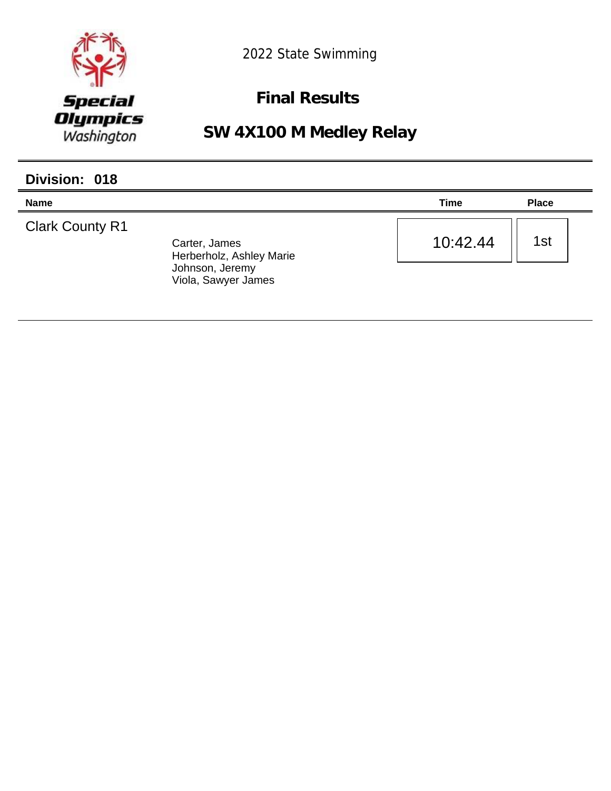

**Final Results** 

**SW 4X100 M Medley Relay**

| Division: 018          |                                                              |          |              |
|------------------------|--------------------------------------------------------------|----------|--------------|
| <b>Name</b>            |                                                              | Time     | <b>Place</b> |
| <b>Clark County R1</b> | Carter, James<br>Herberholz, Ashley Marie<br>Johnson, Jeremy | 10:42.44 | 1st          |
|                        | Viola, Sawyer James                                          |          |              |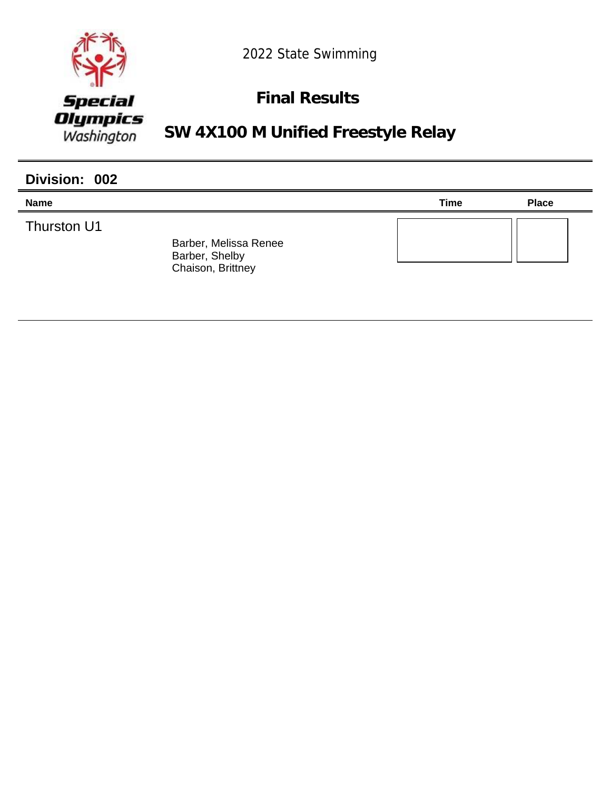

## **Final Results**

**SW 4X100 M Unified Freestyle Relay**

| Division: 002 |                                                              |             |              |
|---------------|--------------------------------------------------------------|-------------|--------------|
| <b>Name</b>   |                                                              | <b>Time</b> | <b>Place</b> |
| Thurston U1   | Barber, Melissa Renee<br>Barber, Shelby<br>Chaison, Brittney |             |              |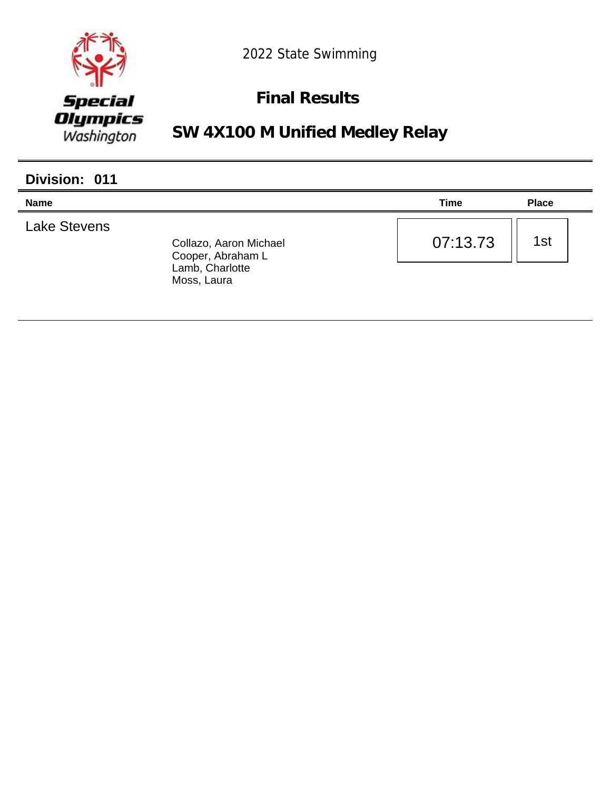

## **Final Results**

**SW 4X100 M Unified Medley Relay**

| Division: 011       |                                                                               |             |              |
|---------------------|-------------------------------------------------------------------------------|-------------|--------------|
| <b>Name</b>         |                                                                               | <b>Time</b> | <b>Place</b> |
| <b>Lake Stevens</b> | Collazo, Aaron Michael<br>Cooper, Abraham L<br>Lamb, Charlotte<br>Moss, Laura | 07:13.73    | 1st          |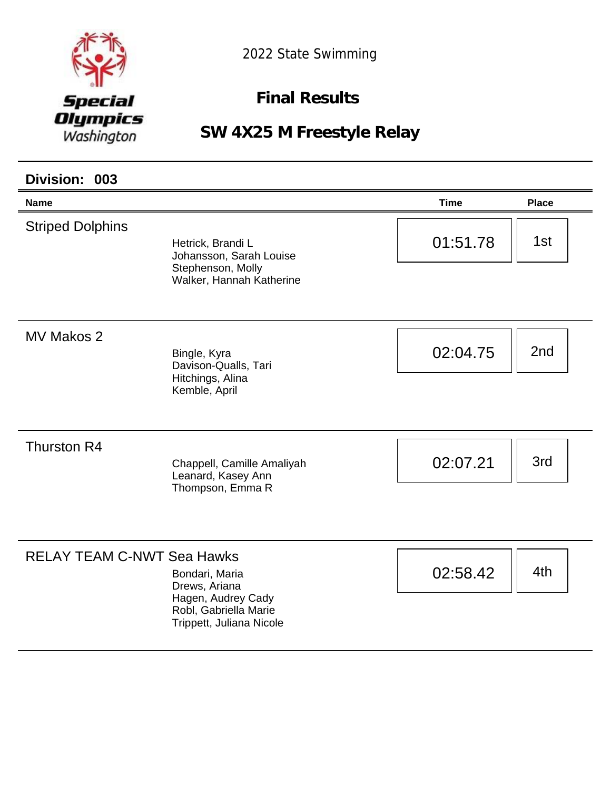

**Final Results** 

| Division: 003                     |                                                                                                            |             |              |
|-----------------------------------|------------------------------------------------------------------------------------------------------------|-------------|--------------|
| <b>Name</b>                       |                                                                                                            | <b>Time</b> | <b>Place</b> |
| <b>Striped Dolphins</b>           | Hetrick, Brandi L<br>Johansson, Sarah Louise<br>Stephenson, Molly<br>Walker, Hannah Katherine              | 01:51.78    | 1st          |
| MV Makos 2                        | Bingle, Kyra<br>Davison-Qualls, Tari<br>Hitchings, Alina<br>Kemble, April                                  | 02:04.75    | 2nd          |
| Thurston R4                       | Chappell, Camille Amaliyah<br>Leanard, Kasey Ann<br>Thompson, Emma R                                       | 02:07.21    | 3rd          |
| <b>RELAY TEAM C-NWT Sea Hawks</b> | Bondari, Maria<br>Drews, Ariana<br>Hagen, Audrey Cady<br>Robl, Gabriella Marie<br>Trippett, Juliana Nicole | 02:58.42    | 4th          |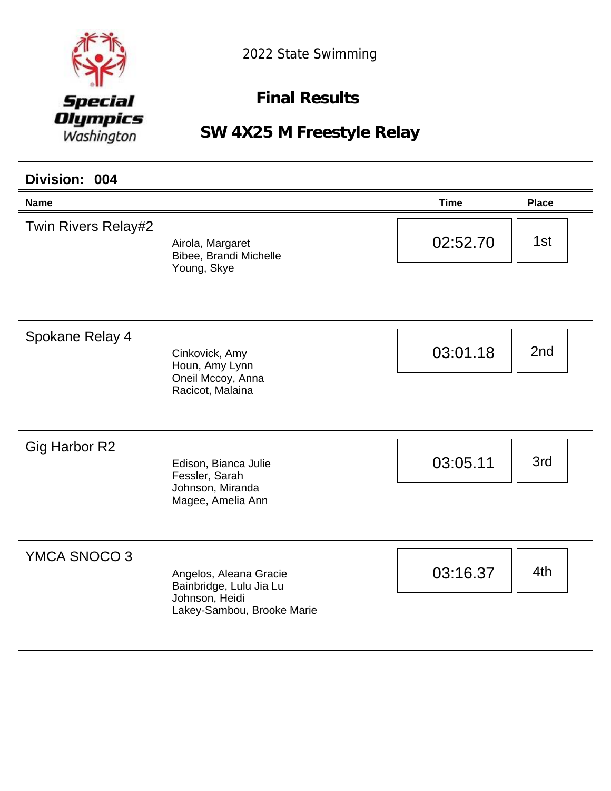

**Final Results** 

| Division: 004              |                                                                                                   |             |              |
|----------------------------|---------------------------------------------------------------------------------------------------|-------------|--------------|
| <b>Name</b>                |                                                                                                   | <b>Time</b> | <b>Place</b> |
| <b>Twin Rivers Relay#2</b> | Airola, Margaret<br>Bibee, Brandi Michelle<br>Young, Skye                                         | 02:52.70    | 1st          |
| Spokane Relay 4            | Cinkovick, Amy<br>Houn, Amy Lynn<br>Oneil Mccoy, Anna<br>Racicot, Malaina                         | 03:01.18    | 2nd          |
| <b>Gig Harbor R2</b>       | Edison, Bianca Julie<br>Fessler, Sarah<br>Johnson, Miranda<br>Magee, Amelia Ann                   | 03:05.11    | 3rd          |
| YMCA SNOCO 3               | Angelos, Aleana Gracie<br>Bainbridge, Lulu Jia Lu<br>Johnson, Heidi<br>Lakey-Sambou, Brooke Marie | 03:16.37    | 4th          |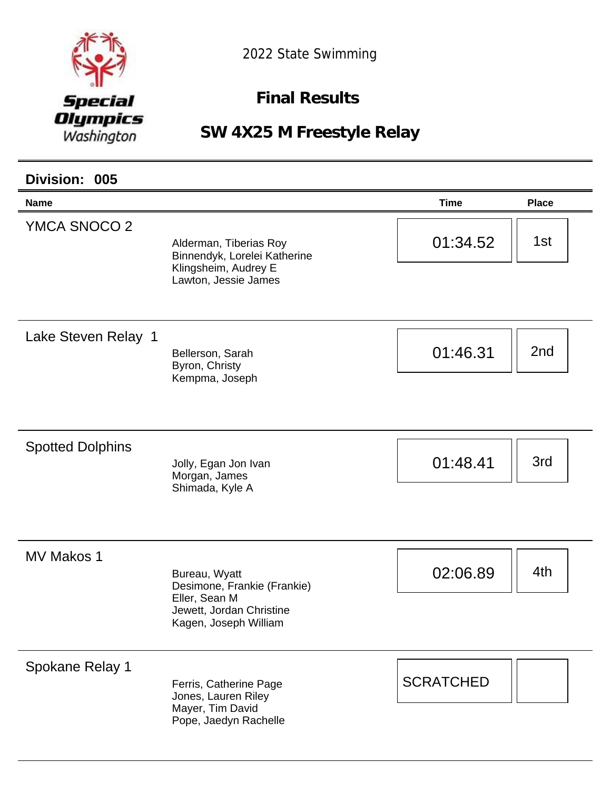

**Final Results** 

| Division: 005           |                                                                                                                    |                  |              |
|-------------------------|--------------------------------------------------------------------------------------------------------------------|------------------|--------------|
| <b>Name</b>             |                                                                                                                    | <b>Time</b>      | <b>Place</b> |
| YMCA SNOCO 2            | Alderman, Tiberias Roy<br>Binnendyk, Lorelei Katherine<br>Klingsheim, Audrey E<br>Lawton, Jessie James             | 01:34.52         | 1st          |
| Lake Steven Relay 1     | Bellerson, Sarah<br>Byron, Christy<br>Kempma, Joseph                                                               | 01:46.31         | 2nd          |
| <b>Spotted Dolphins</b> | Jolly, Egan Jon Ivan<br>Morgan, James<br>Shimada, Kyle A                                                           | 01:48.41         | 3rd          |
| MV Makos 1              | Bureau, Wyatt<br>Desimone, Frankie (Frankie)<br>Eller, Sean M<br>Jewett, Jordan Christine<br>Kagen, Joseph William | 02:06.89         | 4th          |
| Spokane Relay 1         | Ferris, Catherine Page<br>Jones, Lauren Riley<br>Mayer, Tim David<br>Pope, Jaedyn Rachelle                         | <b>SCRATCHED</b> |              |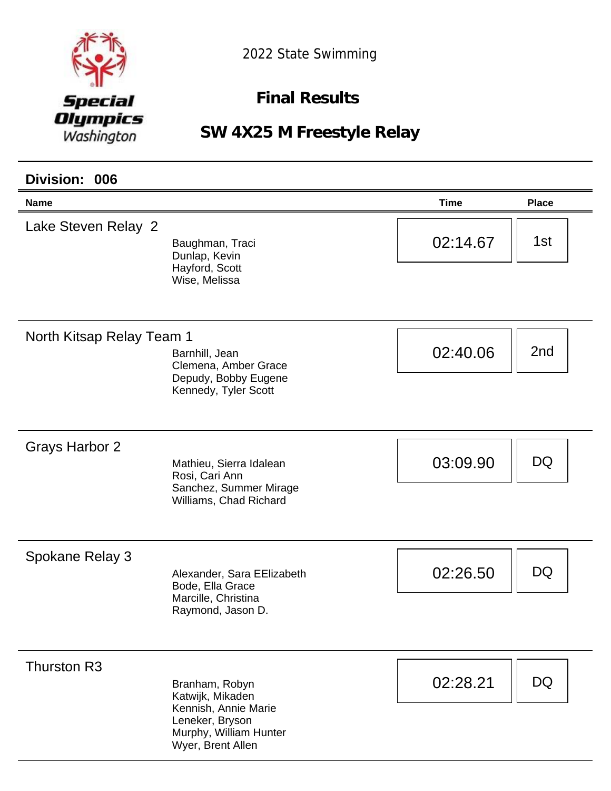

**Final Results** 

**SW 4X25 M Freestyle Relay**

#### **Name Time Place Division: 006** Lake Steven Relay 2 Baughman, Traci Dunlap, Kevin Hayford, Scott Wise, Melissa  $02:14.67$  || 1st North Kitsap Relay Team 1 Barnhill, Jean Clemena, Amber Grace Depudy, Bobby Eugene Kennedy, Tyler Scott  $02:40.06$  | 2nd Grays Harbor 2 Mathieu, Sierra Idalean Rosi, Cari Ann Sanchez, Summer Mirage Williams, Chad Richard 03:09.90 **DQ** Spokane Relay 3 Alexander, Sara EElizabeth Bode, Ella Grace Marcille, Christina Raymond, Jason D. 02:26.50 **DQ** Thurston R3 Branham, Robyn Katwijk, Mikaden Kennish, Annie Marie Leneker, Bryson Murphy, William Hunter Wyer, Brent Allen 02:28.21 DQ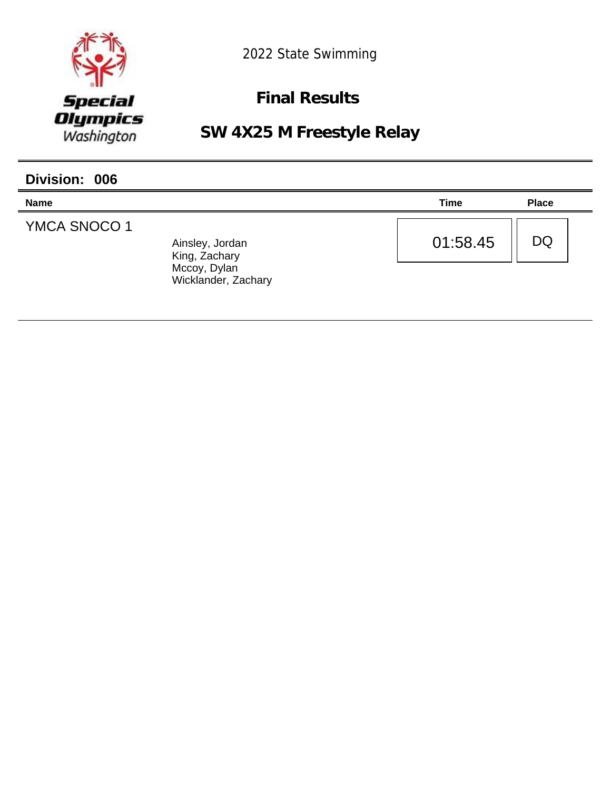

**Final Results** 

| Division: 006       |                                                                         |             |              |
|---------------------|-------------------------------------------------------------------------|-------------|--------------|
| <b>Name</b>         |                                                                         | <b>Time</b> | <b>Place</b> |
| <b>YMCA SNOCO 1</b> | Ainsley, Jordan<br>King, Zachary<br>Mccoy, Dylan<br>Wicklander, Zachary | 01:58.45    | DQ           |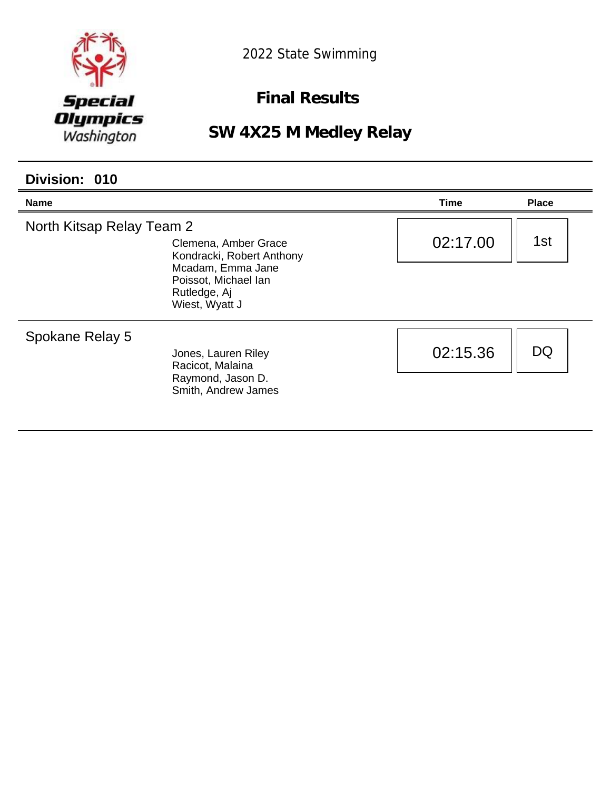

**Final Results** 

**SW 4X25 M Medley Relay**

#### **Division: 010**

| <b>Name</b>               |                                                                                                                                  | Time     | <b>Place</b> |
|---------------------------|----------------------------------------------------------------------------------------------------------------------------------|----------|--------------|
| North Kitsap Relay Team 2 | Clemena, Amber Grace<br>Kondracki, Robert Anthony<br>Mcadam, Emma Jane<br>Poissot, Michael Ian<br>Rutledge, Aj<br>Wiest, Wyatt J | 02:17.00 | 1st          |
| Spokane Relay 5           | Jones, Lauren Riley<br>Racicot, Malaina<br>Raymond, Jason D.<br>Smith, Andrew James                                              | 02:15.36 | DQ           |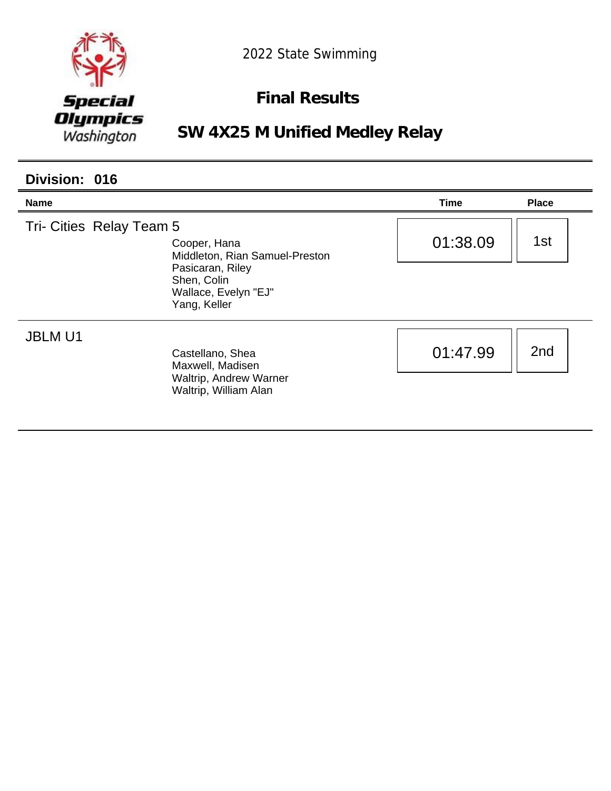

## **Final Results**

**SW 4X25 M Unified Medley Relay**

| Division: 016            |                                                                                                                           |          |                 |
|--------------------------|---------------------------------------------------------------------------------------------------------------------------|----------|-----------------|
| Name                     |                                                                                                                           | Time     | <b>Place</b>    |
| Tri- Cities Relay Team 5 | Cooper, Hana<br>Middleton, Rian Samuel-Preston<br>Pasicaran, Riley<br>Shen, Colin<br>Wallace, Evelyn "EJ"<br>Yang, Keller | 01:38.09 | 1st             |
| <b>JBLM U1</b>           | Castellano, Shea<br>Maxwell, Madisen<br>Waltrip, Andrew Warner<br>Waltrip, William Alan                                   | 01:47.99 | 2 <sub>nd</sub> |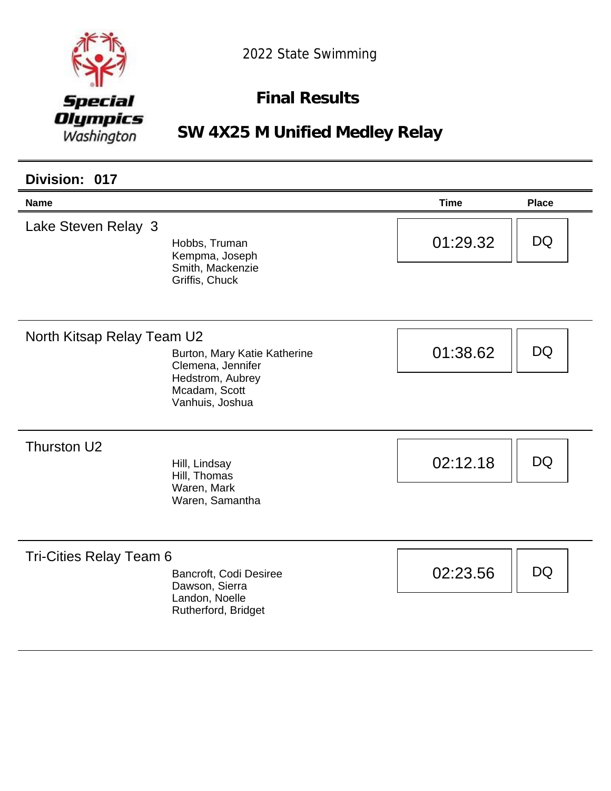

## **Final Results**

**SW 4X25 M Unified Medley Relay**

| Division: 017              |                                                                                                           |             |              |
|----------------------------|-----------------------------------------------------------------------------------------------------------|-------------|--------------|
| <b>Name</b>                |                                                                                                           | <b>Time</b> | <b>Place</b> |
| Lake Steven Relay 3        | Hobbs, Truman<br>Kempma, Joseph<br>Smith, Mackenzie<br>Griffis, Chuck                                     | 01:29.32    | DQ.          |
| North Kitsap Relay Team U2 | Burton, Mary Katie Katherine<br>Clemena, Jennifer<br>Hedstrom, Aubrey<br>Mcadam, Scott<br>Vanhuis, Joshua | 01:38.62    | <b>DQ</b>    |
| Thurston U2                | Hill, Lindsay<br>Hill, Thomas<br>Waren, Mark<br>Waren, Samantha                                           | 02:12.18    | DQ           |
| Tri-Cities Relay Team 6    | Bancroft, Codi Desiree<br>Dawson, Sierra<br>Landon, Noelle<br>Rutherford, Bridget                         | 02:23.56    | DQ           |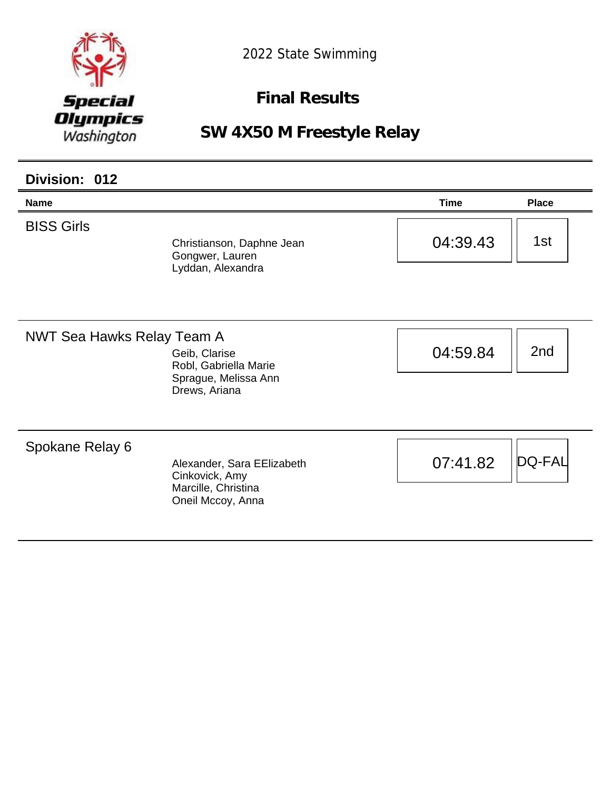

**Final Results** 

| Division: 012                     |                                                                                          |             |               |
|-----------------------------------|------------------------------------------------------------------------------------------|-------------|---------------|
| <b>Name</b>                       |                                                                                          | <b>Time</b> | <b>Place</b>  |
| <b>BISS Girls</b>                 | Christianson, Daphne Jean<br>Gongwer, Lauren<br>Lyddan, Alexandra                        | 04:39.43    | 1st           |
| <b>NWT Sea Hawks Relay Team A</b> | Geib, Clarise<br>Robl, Gabriella Marie<br>Sprague, Melissa Ann<br>Drews, Ariana          | 04:59.84    | 2nd           |
| Spokane Relay 6                   | Alexander, Sara EElizabeth<br>Cinkovick, Amy<br>Marcille, Christina<br>Oneil Mccoy, Anna | 07:41.82    | <b>DQ-FAL</b> |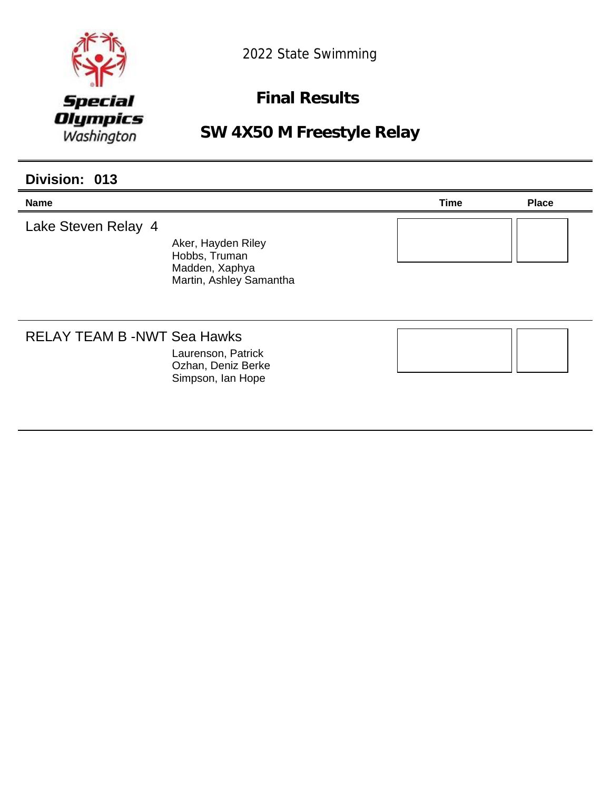

**Final Results** 

## **SW 4X50 M Freestyle Relay**

#### **Division: 013**

| <b>Name</b>                       |                                                                                  | <b>Time</b> | <b>Place</b> |
|-----------------------------------|----------------------------------------------------------------------------------|-------------|--------------|
| Lake Steven Relay 4               | Aker, Hayden Riley<br>Hobbs, Truman<br>Madden, Xaphya<br>Martin, Ashley Samantha |             |              |
| <b>RELAY TEAM B-NWT Sea Hawks</b> | Laurenson, Patrick<br>Ozhan, Deniz Berke<br>Simpson, Ian Hope                    |             |              |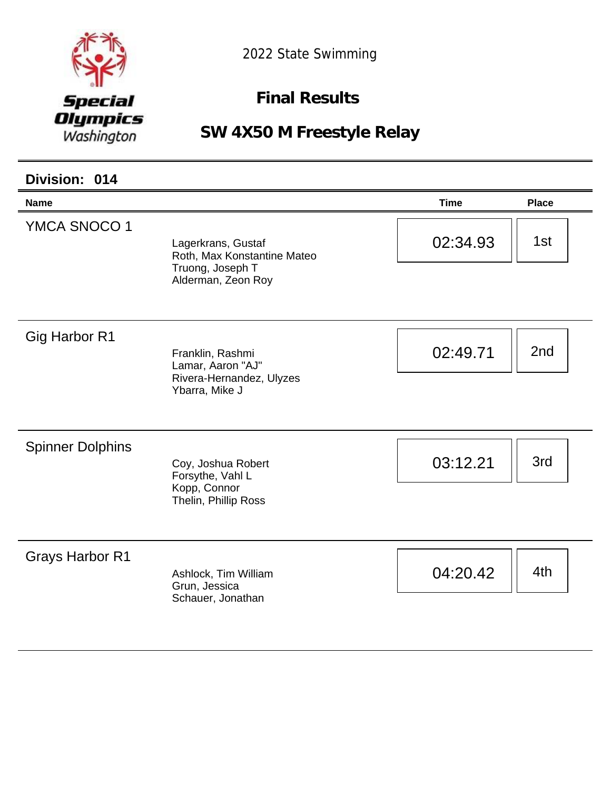

**Final Results** 

| Division: 014           |                                                                                             |             |              |
|-------------------------|---------------------------------------------------------------------------------------------|-------------|--------------|
| <b>Name</b>             |                                                                                             | <b>Time</b> | <b>Place</b> |
| YMCA SNOCO 1            | Lagerkrans, Gustaf<br>Roth, Max Konstantine Mateo<br>Truong, Joseph T<br>Alderman, Zeon Roy | 02:34.93    | 1st          |
| Gig Harbor R1           | Franklin, Rashmi<br>Lamar, Aaron "AJ"<br>Rivera-Hernandez, Ulyzes<br>Ybarra, Mike J         | 02:49.71    | 2nd          |
| <b>Spinner Dolphins</b> | Coy, Joshua Robert<br>Forsythe, Vahl L<br>Kopp, Connor<br>Thelin, Phillip Ross              | 03:12.21    | 3rd          |
| <b>Grays Harbor R1</b>  | Ashlock, Tim William<br>Grun, Jessica<br>Schauer, Jonathan                                  | 04:20.42    | 4th          |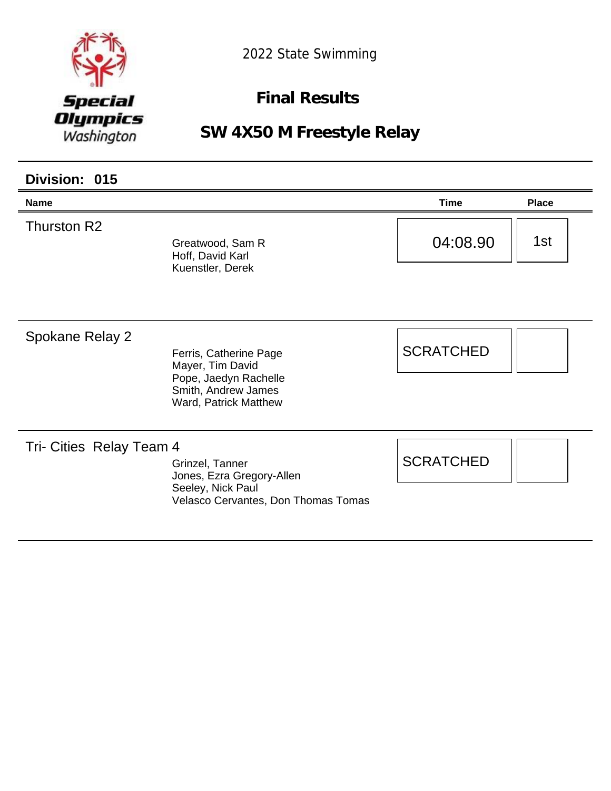

**Final Results** 

| Division: 015            |                                                                                                                     |                  |              |
|--------------------------|---------------------------------------------------------------------------------------------------------------------|------------------|--------------|
| <b>Name</b>              |                                                                                                                     | <b>Time</b>      | <b>Place</b> |
| Thurston R2              | Greatwood, Sam R<br>Hoff, David Karl<br>Kuenstler, Derek                                                            | 04:08.90         | 1st          |
| Spokane Relay 2          | Ferris, Catherine Page<br>Mayer, Tim David<br>Pope, Jaedyn Rachelle<br>Smith, Andrew James<br>Ward, Patrick Matthew | <b>SCRATCHED</b> |              |
| Tri- Cities Relay Team 4 | Grinzel, Tanner<br>Jones, Ezra Gregory-Allen<br>Seeley, Nick Paul<br>Velasco Cervantes, Don Thomas Tomas            | <b>SCRATCHED</b> |              |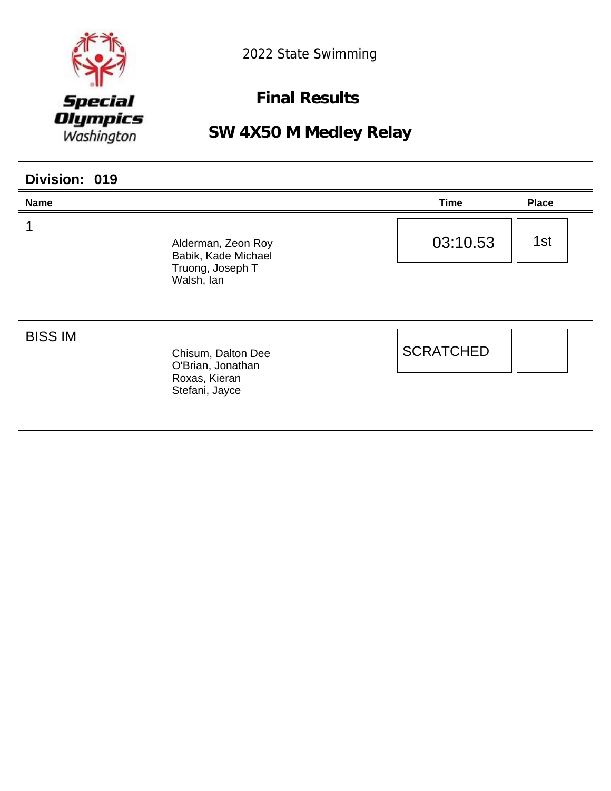

**Final Results** 

**SW 4X50 M Medley Relay**

| Division: 019  |                                                                             |                  |              |
|----------------|-----------------------------------------------------------------------------|------------------|--------------|
| <b>Name</b>    |                                                                             | <b>Time</b>      | <b>Place</b> |
|                | Alderman, Zeon Roy<br>Babik, Kade Michael<br>Truong, Joseph T<br>Walsh, lan | 03:10.53         | 1st          |
| <b>BISS IM</b> | Chisum, Dalton Dee<br>O'Brian, Jonathan<br>Roxas, Kieran<br>Stefani, Jayce  | <b>SCRATCHED</b> |              |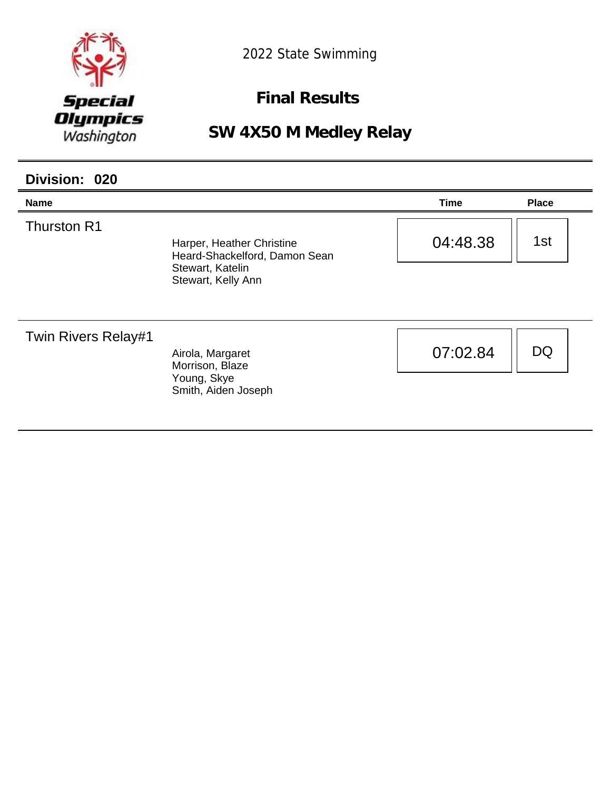

**Final Results** 

## **SW 4X50 M Medley Relay**

| Division: 020              |                                                                                                      |             |              |
|----------------------------|------------------------------------------------------------------------------------------------------|-------------|--------------|
| <b>Name</b>                |                                                                                                      | <b>Time</b> | <b>Place</b> |
| <b>Thurston R1</b>         | Harper, Heather Christine<br>Heard-Shackelford, Damon Sean<br>Stewart, Katelin<br>Stewart, Kelly Ann | 04:48.38    | 1st          |
|                            |                                                                                                      |             |              |
| <b>Twin Rivers Relay#1</b> | Airola, Margaret<br>Morrison, Blaze                                                                  | 07:02.84    | <b>DQ</b>    |
|                            | Young, Skye<br>Smith, Aiden Joseph                                                                   |             |              |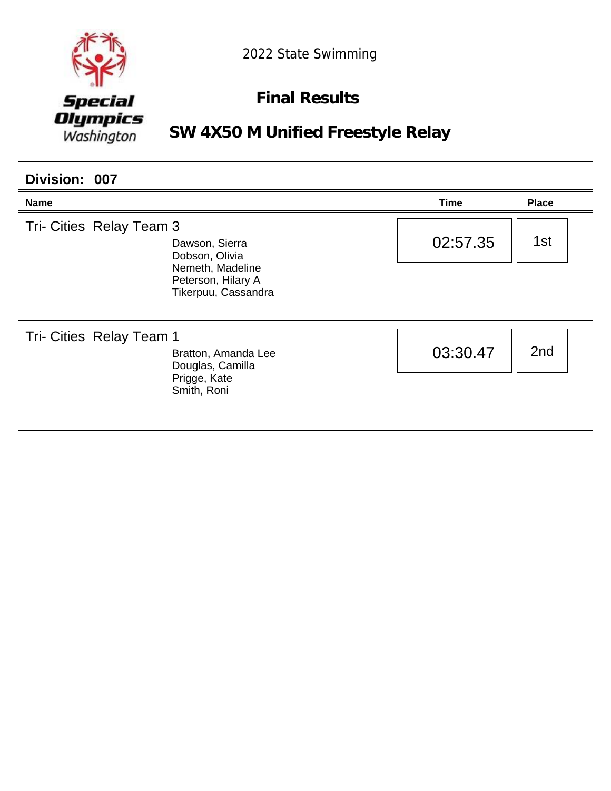

## **Final Results**

**SW 4X50 M Unified Freestyle Relay**

| Division: 007                                                |                                                               |             |                 |  |
|--------------------------------------------------------------|---------------------------------------------------------------|-------------|-----------------|--|
| <b>Name</b>                                                  |                                                               | <b>Time</b> | <b>Place</b>    |  |
| Tri- Cities Relay Team 3<br>Dawson, Sierra<br>Dobson, Olivia |                                                               | 02:57.35    | 1st             |  |
|                                                              | Nemeth, Madeline<br>Peterson, Hilary A<br>Tikerpuu, Cassandra |             |                 |  |
| Tri- Cities Relay Team 1                                     | Bratton, Amanda Lee<br>Douglas, Camilla                       | 03:30.47    | 2 <sub>nd</sub> |  |
|                                                              | Prigge, Kate<br>Smith, Roni                                   |             |                 |  |